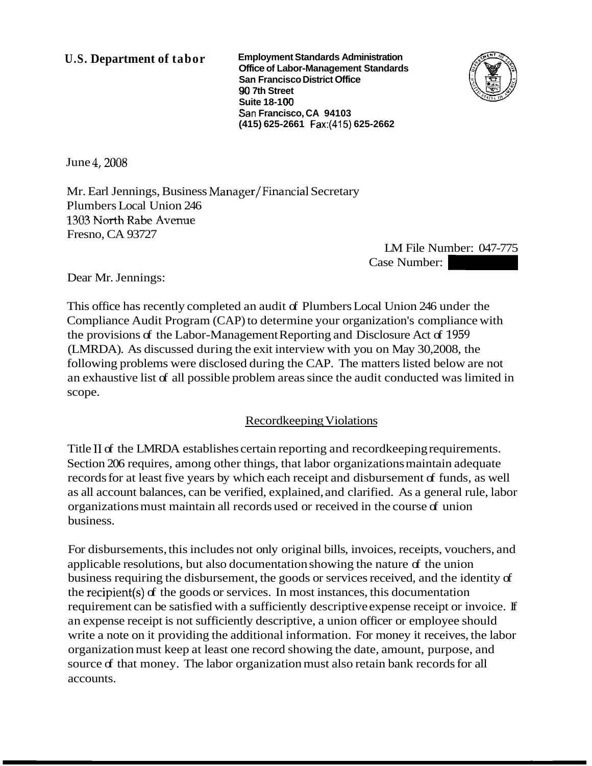**U.S. Department of tabor Employment Standards Administration Office of Labor-Management Standards San Francisco District Office 90 7th Street Suite 18-1 00 San Francisco, CA 94103 (41 5) 625-2661 Fax:(415) 625-2662** 



June 4,2008

Mr. Earl Jennings, Business Manager/Financial Secretary Plumbers Local Union 246 **2303** North Rabe **Avme**  Fresno, CA 93727

LM File Number: 047-775 Extendants<br>
Extendants<br>
Case Number: 047-775<br>
Case Number: 047-775<br>
Case Number: 047-775<br>
Case Number: 047-775

Dear Mr. Jennings:

This office has recently completed an audit of Plumbers Local Union 246 under the Compliance Audit Program (CAP) to determine your organization's compliance with the provisions of the Labor-Management Reporting and Disclosure Act of 1959 (LMRDA). As discussed during the exit interview with you on May 30,2008, the following problems were disclosed during the CAP. The matters listed below are not an exhaustive list of all possible problem areas since the audit conducted was limited in scope.

### Recordkeeping Violations

Title I1 of the LMRDA establishes certain reporting and recordkeeping requirements. Section 206 requires, among other things, that labor organizations maintain adequate records for at least five years by which each receipt and disbursement of funds, as well as all account balances, can be verified, explained, and clarified. As a general rule, labor organizations must maintain all records used or received in the course  $\sigma$  union business.

For disbursements, this includes not only original bills, invoices, receipts, vouchers, and applicable resolutions, but also documentation showing the nature of the union business requiring the disbursement, the goods or services received, and the identity of the recipient(s) of the goods or services. In most instances, this documentation requirement can be satisfied with a sufficiently descriptive expense receipt or invoice. If an expense receipt is not sufficiently descriptive, a union officer or employee should write a note on it providing the additional information. For money it receives, the labor organization must keep at least one record showing the date, amount, purpose, and source of that money. The labor organization must also retain bank records for all accounts.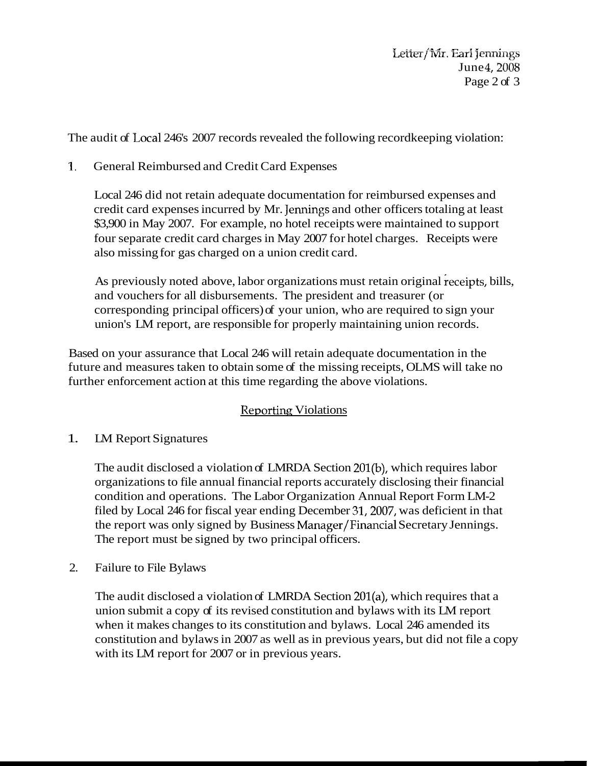*Letter/Mr. Earl Jennings* June 4, 2008 Page 2 of 3

The audit of Local 246's 2007 records revealed the following recordkeeping violation:

## **1.** General Reimbursed and Credit Card Expenses

Local 246 did not retain adequate documentation for reimbursed expenses and credit card expenses incurred by Mr. Jennings and other officers totaling at least \$3,900 in May 2007. For example, no hotel receipts were maintained to support four separate credit card charges in May 2007 for hotel charges. Receipts were also missing for gas charged on a union credit card.

As previously noted above, labor organizations must retain original receipts, bills, and vouchers for all disbursements. The president and treasurer (or corresponding principal officers) of your union, who are required to sign your union's LM report, are responsible for properly maintaining union records.

Based on your assurance that Local 246 will retain adequate documentation in the future and measures taken to obtain some of the missing receipts, OLMS will take no further enforcement action at this time regarding the above violations.

# Reporting Violations

# 1. LM Report Signatures

The audit disclosed a violation of LMRDA Section 201(b), which requires labor organizations to file annual financial reports accurately disclosing their financial condition and operations. The Labor Organization Annual Report Form LM-2 filed by Local 246 for fiscal year ending December 31,2007, was deficient in that the report was only signed by Business Manager/Financial Secretary Jennings. The report must be signed by two principal officers.

### 2. Failure to File Bylaws

The audit disclosed a violation of LMRDA Section 201(a), which requires that a union submit a copy of its revised constitution and bylaws with its LM report when it makes changes to its constitution and bylaws. Local 246 amended its constitution and bylaws in 2007 as well as in previous years, but did not file a copy with its LM report for 2007 or in previous years.